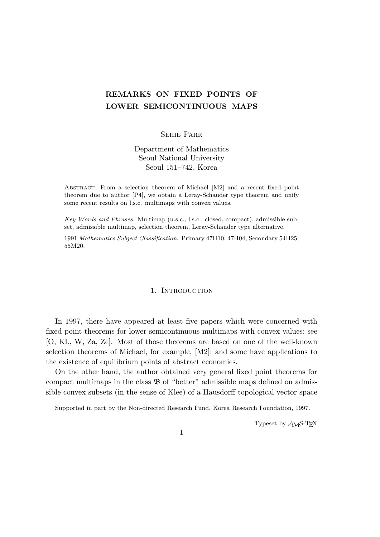# **REMARKS ON FIXED POINTS OF LOWER SEMICONTINUOUS MAPS**

Sehie Park

Department of Mathematics Seoul National University Seoul 151–742, Korea

Abstract. From a selection theorem of Michael [M2] and a recent fixed point theorem due to author [P4], we obtain a Leray-Schauder type theorem and unify some recent results on l.s.c. multimaps with convex values.

*Key Words and Phrases.* Multimap (u.s.c., l.s.c., closed, compact), admissible subset, admissible multimap, selection theorem, Leray-Schauder type alternative.

1991 *Mathematics Subject Classification*. Primary 47H10, 47H04, Secondary 54H25, 55M20.

## 1. INTRODUCTION

In 1997, there have appeared at least five papers which were concerned with fixed point theorems for lower semicontinuous multimaps with convex values; see [O, KL, W, Za, Ze]. Most of those theorems are based on one of the well-known selection theorems of Michael, for example, [M2]; and some have applications to the existence of equilibrium points of abstract economies.

On the other hand, the author obtained very general fixed point theorems for compact multimaps in the class B of "better" admissible maps defined on admissible convex subsets (in the sense of Klee) of a Hausdorff topological vector space

Typeset by  $A_{\mathcal{M}}S$ -T<sub>E</sub>X

1

Supported in part by the Non-directed Research Fund, Korea Research Foundation, 1997.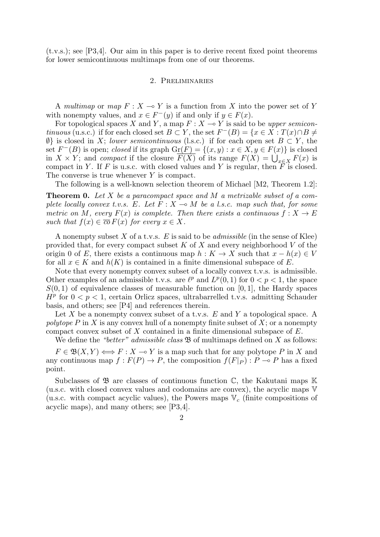(t.v.s.); see [P3,4]. Our aim in this paper is to derive recent fixed point theorems for lower semicontinuous multimaps from one of our theorems.

### 2. Preliminaries

A *multimap* or *map*  $F: X \to Y$  is a function from X into the power set of Y with nonempty values, and  $x \in F^-(y)$  if and only if  $y \in F(x)$ .

For topological spaces *X* and *Y*, a map  $F: X \to Y$  is said to be *upper semicontinuous* (u.s.c.) if for each closed set  $B \subset Y$ , the set  $F^{-}(B) = \{x \in X : T(x) \cap B \neq \emptyset\}$ *∅}* is closed in *X*; *lower semicontinuous* (l.s.c.) if for each open set *B ⊂ Y* , the set  $F^{-}(B)$  is open; *closed* if its graph  $\text{Gr}(F) = \{(x, y) : x \in X, y \in F(x)\}\$ is closed in *X* × *Y*; and *compact* if the closure  $\overline{F(X)}$  of its range  $F(X) = \bigcup_{x \in X} F(x)$  is compact in *Y*. If *F* is u.s.c. with closed values and *Y* is regular, then  $\overline{F}$  is closed. The converse is true whenever *Y* is compact.

The following is a well-known selection theorem of Michael [M2, Theorem 1.2]:

**Theorem 0.** *Let X be a paracompact space and M a metrizable subset of a complete locally convex t.v.s.*  $E$ *. Let*  $F : X \to M$  *be a l.s.c. map such that, for some metric on M*, every  $F(x)$  *is complete. Then there exists a continuous*  $f: X \to E$ *such that*  $f(x) \in \overline{co} F(x)$  *for every*  $x \in X$ *.* 

A nonempty subset *X* of a t.v.s. *E* is said to be *admissible* (in the sense of Klee) provided that, for every compact subset *K* of *X* and every neighborhood *V* of the origin 0 of *E*, there exists a continuous map  $h: K \to X$  such that  $x - h(x) \in V$ for all  $x \in K$  and  $h(K)$  is contained in a finite dimensional subspace of E.

Note that every nonempty convex subset of a locally convex t.v.s. is admissible. Other examples of an admissible t.v.s. are  $\ell^p$  and  $L^p(0,1)$  for  $0 < p < 1$ , the space  $S(0,1)$  of equivalence classes of measurable function on [0, 1], the Hardy spaces  $H^p$  for  $0 < p < 1$ , certain Orlicz spaces, ultrabarrelled t.v.s. admitting Schauder basis, and others; see [P4] and references therein.

Let *X* be a nonempty convex subset of a t.v.s. *E* and *Y* a topological space. A *polytope P* in *X* is any convex hull of a nonempty finite subset of *X*; or a nonempty compact convex subset of *X* contained in a finite dimensional subspace of *E*.

We define the *"better" admissible class*  $\mathfrak{B}$  of multimaps defined on *X* as follows:

 $F \in \mathfrak{B}(X, Y) \Longleftrightarrow F : X \to Y$  is a map such that for any polytope *P* in *X* and any continuous map  $f: F(P) \to P$ , the composition  $f(F|_P): P \to P$  has a fixed point.

Subclasses of  $\mathfrak{B}$  are classes of continuous function  $\mathbb{C}$ , the Kakutani maps K (u.s.c. with closed convex values and codomains are convex), the acyclic maps V (u.s.c. with compact acyclic values), the Powers maps V*<sup>c</sup>* (finite compositions of acyclic maps), and many others; see [P3,4].

 $\mathcal{D}_{\mathcal{L}}$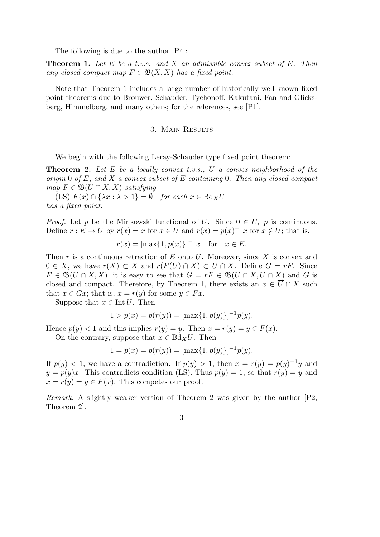The following is due to the author [P4]:

**Theorem 1.** *Let E be a t.v.s. and X an admissible convex subset of E. Then any closed compact map*  $F \in \mathfrak{B}(X,X)$  *has a fixed point.* 

Note that Theorem 1 includes a large number of historically well-known fixed point theorems due to Brouwer, Schauder, Tychonoff, Kakutani, Fan and Glicksberg, Himmelberg, and many others; for the references, see [P1].

# 3. Main Results

We begin with the following Leray-Schauder type fixed point theorem:

**Theorem 2.** *Let E be a locally convex t.v.s., U a convex neighborhood of the origin* 0 *of E, and X a convex subset of E containing* 0*. Then any closed compact map*  $F \in \mathfrak{B}(\overline{U} \cap X, X)$  *satisfying* 

 $(ES)$   $F(x) \cap {\lambda x : \lambda > 1} = \emptyset$  *for each*  $x \in Bd_XU$ *has a fixed point.*

*Proof.* Let *p* be the Minkowski functional of  $\overline{U}$ . Since  $0 \in U$ , *p* is continuous. Define  $r : E \to \overline{U}$  by  $r(x) = x$  for  $x \in \overline{U}$  and  $r(x) = p(x)^{-1}x$  for  $x \notin \overline{U}$ ; that is,

$$
r(x) = [\max\{1, p(x)\}]^{-1}x \quad \text{for} \quad x \in E.
$$

Then *r* is a continuous retraction of *E* onto  $\overline{U}$ . Moreover, since *X* is convex and  $0 \in X$ , we have  $r(X) \subset X$  and  $r(F(\overline{U}) \cap X) \subset \overline{U} \cap X$ . Define  $G = rF$ . Since  $F \in \mathfrak{B}(\overline{U} \cap X, X)$ , it is easy to see that  $G = rF \in \mathfrak{B}(\overline{U} \cap X, \overline{U} \cap X)$  and G is closed and compact. Therefore, by Theorem 1, there exists an  $x \in \overline{U} \cap X$  such that  $x \in Gx$ ; that is,  $x = r(y)$  for some  $y \in Fx$ .

Suppose that  $x \in \text{Int } U$ . Then

$$
1 > p(x) = p(r(y)) = [\max\{1, p(y)\}]^{-1} p(y).
$$

Hence  $p(y) < 1$  and this implies  $r(y) = y$ . Then  $x = r(y) = y \in F(x)$ .

On the contrary, suppose that  $x \in Bd_XU$ . Then

$$
1 = p(x) = p(r(y)) = [\max\{1, p(y)\}]^{-1} p(y).
$$

If  $p(y) < 1$ , we have a contradiction. If  $p(y) > 1$ , then  $x = r(y) = p(y)^{-1}y$  and  $y = p(y)x$ . This contradicts condition (LS). Thus  $p(y) = 1$ , so that  $r(y) = y$  and  $x = r(y) = y \in F(x)$ . This competes our proof.

*Remark.* A slightly weaker version of Theorem 2 was given by the author [P2, Theorem 2].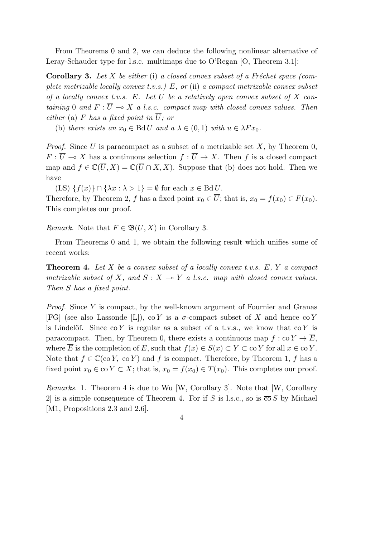From Theorems 0 and 2, we can deduce the following nonlinear alternative of Leray-Schauder type for l.s.c. multimaps due to O'Regan [O, Theorem 3.1]:

**Corollary 3.** Let *X* be either (i) a closed convex subset of a Fréchet space (com*plete metrizable locally convex t.v.s.) E, or* (ii) *a compact metrizable convex subset of a locally convex t.v.s. E. Let U be a relatively open convex subset of X containing* 0 *and*  $F: \overline{U} \to X$  *a l.s.c. compact map with closed convex values. Then either* (a) *F* has a fixed point in  $\overline{U}$ ; or

(b) *there exists an*  $x_0 \in \text{Bd} U$  *and a*  $\lambda \in (0,1)$  *with*  $u \in \lambda F x_0$ .

*Proof.* Since  $\overline{U}$  is paracompact as a subset of a metrizable set *X*, by Theorem 0, *F* :  $\overline{U} \to X$  has a continuous selection  $f : \overline{U} \to X$ . Then *f* is a closed compact map and  $f \in \mathbb{C}(\overline{U}, X) = \mathbb{C}(\overline{U} \cap X, X)$ . Suppose that (b) does not hold. Then we have

 $(LS) \{f(x)\}\cap {\lambda x : \lambda > 1} = \emptyset$  for each  $x \in \text{Bd} U$ .

Therefore, by Theorem 2, *f* has a fixed point  $x_0 \in \overline{U}$ ; that is,  $x_0 = f(x_0) \in F(x_0)$ . This completes our proof.

*Remark.* Note that  $F \in \mathfrak{B}(\overline{U}, X)$  in Corollary 3.

From Theorems 0 and 1, we obtain the following result which unifies some of recent works:

**Theorem 4.** *Let X be a convex subset of a locally convex t.v.s. E, Y a compact metrizable subset of*  $X$ *, and*  $S: X \rightarrow Y$  *a l.s.c. map with closed convex values. Then S has a fixed point.*

*Proof.* Since *Y* is compact, by the well-known argument of Fournier and Granas [FG] (see also Lassonde [L]), co *Y* is a  $\sigma$ -compact subset of *X* and hence co *Y* is Lindelöf. Since  $\text{co } Y$  is regular as a subset of a t.v.s., we know that  $\text{co } Y$  is paracompact. Then, by Theorem 0, there exists a continuous map  $f : \text{co } Y \to \overline{E}$ , where  $\overline{E}$  is the completion of *E*, such that  $f(x) \in S(x) \subset Y \subset \text{co } Y$  for all  $x \in \text{co } Y$ . Note that  $f \in \mathbb{C}(\infty Y, \infty Y)$  and *f* is compact. Therefore, by Theorem 1, *f* has a fixed point  $x_0 \in \text{co } Y \subset X$ ; that is,  $x_0 = f(x_0) \in T(x_0)$ . This completes our proof.

*Remarks.* 1. Theorem 4 is due to Wu [W, Corollary 3]. Note that [W, Corollary 2 is a simple consequence of Theorem 4. For if *S* is l.s.c., so is  $\overline{co} S$  by Michael [M1, Propositions 2.3 and 2.6].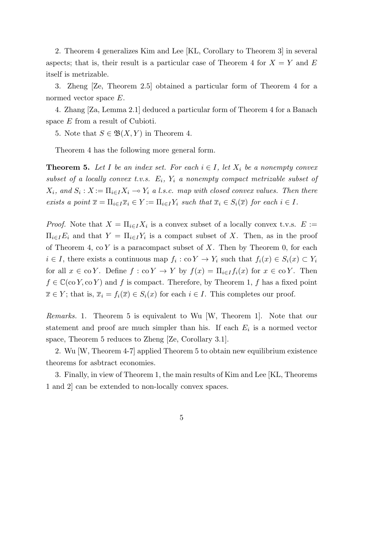2. Theorem 4 generalizes Kim and Lee [KL, Corollary to Theorem 3] in several aspects; that is, their result is a particular case of Theorem 4 for  $X = Y$  and  $E$ itself is metrizable.

3. Zheng [Ze, Theorem 2.5] obtained a particular form of Theorem 4 for a normed vector space *E*.

4. Zhang [Za, Lemma 2.1] deduced a particular form of Theorem 4 for a Banach space *E* from a result of Cubioti.

5. Note that  $S \in \mathfrak{B}(X, Y)$  in Theorem 4.

Theorem 4 has the following more general form.

**Theorem 5.** Let *I* be an index set. For each  $i \in I$ , let  $X_i$  be a nonempty convex subset of a locally convex t.v.s.  $E_i$ ,  $Y_i$  a nonempty compact metrizable subset of  $X_i$ , and  $S_i$ :  $X := \prod_{i \in I} X_i \multimap Y_i$  *a l.s.c. map with closed convex values. Then there* exists a point  $\overline{x} = \prod_{i \in I} \overline{x}_i \in Y := \prod_{i \in I} Y_i$  such that  $\overline{x}_i \in S_i(\overline{x})$  for each  $i \in I$ .

*Proof.* Note that  $X = \prod_{i \in I} X_i$  is a convex subset of a locally convex t.v.s.  $E :=$  $\Pi_{i\in I}E_i$  and that  $Y = \Pi_{i\in I}Y_i$  is a compact subset of *X*. Then, as in the proof of Theorem 4, co *Y* is a paracompact subset of *X*. Then by Theorem 0, for each  $i \in I$ , there exists a continuous map  $f_i : \text{co } Y \to Y_i$  such that  $f_i(x) \in S_i(x) \subset Y_i$ for all  $x \in \text{co } Y$ . Define  $f : \text{co } Y \to Y$  by  $f(x) = \prod_{i \in I} f_i(x)$  for  $x \in \text{co } Y$ . Then  $f \in \mathbb{C}(\infty Y, \infty Y)$  and *f* is compact. Therefore, by Theorem 1, *f* has a fixed point  $\overline{x} \in Y$ ; that is,  $\overline{x}_i = f_i(\overline{x}) \in S_i(x)$  for each  $i \in I$ . This completes our proof.

*Remarks.* 1. Theorem 5 is equivalent to Wu [W, Theorem 1]. Note that our statement and proof are much simpler than his. If each  $E_i$  is a normed vector space, Theorem 5 reduces to Zheng [Ze, Corollary 3.1].

2. Wu [W, Theorem 4-7] applied Theorem 5 to obtain new equilibrium existence theorems for asbtract economies.

3. Finally, in view of Theorem 1, the main results of Kim and Lee [KL, Theorems 1 and 2] can be extended to non-locally convex spaces.